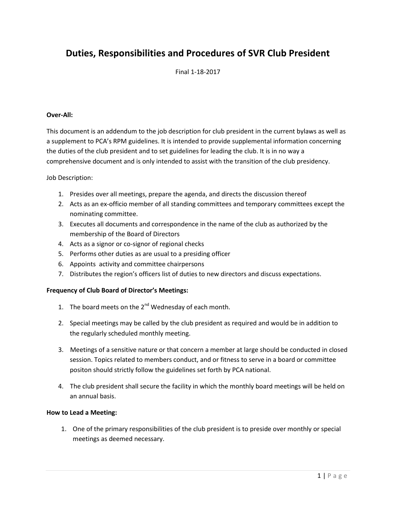### **Duties, Responsibilities and Procedures of SVR Club President**

Final 1-18-2017

#### **Over-All:**

This document is an addendum to the job description for club president in the current bylaws as well as a supplement to PCA's RPM guidelines. It is intended to provide supplemental information concerning the duties of the club president and to set guidelines for leading the club. It is in no way a comprehensive document and is only intended to assist with the transition of the club presidency.

Job Description:

- 1. Presides over all meetings, prepare the agenda, and directs the discussion thereof
- 2. Acts as an ex-officio member of all standing committees and temporary committees except the nominating committee.
- 3. Executes all documents and correspondence in the name of the club as authorized by the membership of the Board of Directors
- 4. Acts as a signor or co-signor of regional checks
- 5. Performs other duties as are usual to a presiding officer
- 6. Appoints activity and committee chairpersons
- 7. Distributes the region's officers list of duties to new directors and discuss expectations.

### **Frequency of Club Board of Director's Meetings:**

- 1. The board meets on the  $2^{nd}$  Wednesday of each month.
- 2. Special meetings may be called by the club president as required and would be in addition to the regularly scheduled monthly meeting.
- 3. Meetings of a sensitive nature or that concern a member at large should be conducted in closed session. Topics related to members conduct, and or fitness to serve in a board or committee positon should strictly follow the guidelines set forth by PCA national.
- 4. The club president shall secure the facility in which the monthly board meetings will be held on an annual basis.

### **How to Lead a Meeting:**

1. One of the primary responsibilities of the club president is to preside over monthly or special meetings as deemed necessary.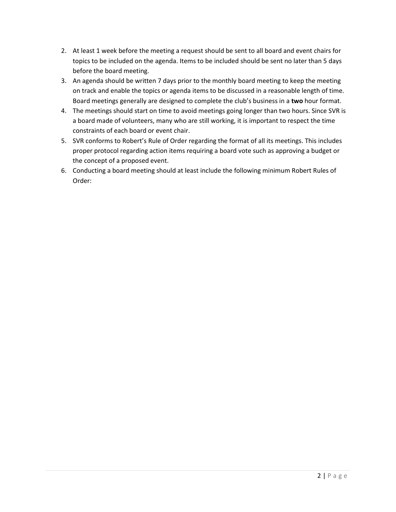- 2. At least 1 week before the meeting a request should be sent to all board and event chairs for topics to be included on the agenda. Items to be included should be sent no later than 5 days before the board meeting.
- 3. An agenda should be written 7 days prior to the monthly board meeting to keep the meeting on track and enable the topics or agenda items to be discussed in a reasonable length of time. Board meetings generally are designed to complete the club's business in a **two** hour format.
- 4. The meetings should start on time to avoid meetings going longer than two hours. Since SVR is a board made of volunteers, many who are still working, it is important to respect the time constraints of each board or event chair.
- 5. SVR conforms to Robert's Rule of Order regarding the format of all its meetings. This includes proper protocol regarding action items requiring a board vote such as approving a budget or the concept of a proposed event.
- 6. Conducting a board meeting should at least include the following minimum Robert Rules of Order: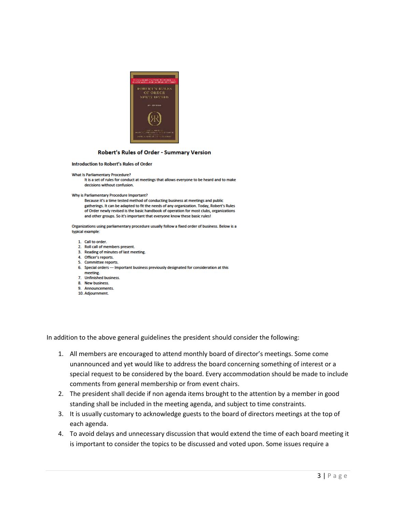

#### Robert's Rules of Order - Summary Version

#### Introduction to Robert's Rules of Order

#### **What Is Parliamentary Procedure?**

It is a set of rules for conduct at meetings that allows everyone to be heard and to make decisions without confusion.

#### Why is Parliamentary Procedure Important?

Because it's a time tested method of conducting business at meetings and public gatherings. It can be adapted to fit the needs of any organization. Today, Robert's Rules of Order newly revised is the basic handbook of operation for most clubs, organizations and other groups. So it's important that everyone know these basic rules!

Organizations using parliamentary procedure usually follow a fixed order of business. Below is a typical example:

- 1. Call to order.
- 2. Roll call of members present.
- 3. Reading of minutes of last meeting.
- 4. Officer's reports. 5. Committee reports.
- 6. Special orders --- Important business previously designated for consideration at this meeting.
- 7. Unfinished business.
- 8. New business.
- 9. Announcements.
- 10. Adjournment.

In addition to the above general guidelines the president should consider the following:

- 1. All members are encouraged to attend monthly board of director's meetings. Some come unannounced and yet would like to address the board concerning something of interest or a special request to be considered by the board. Every accommodation should be made to include comments from general membership or from event chairs.
- 2. The president shall decide if non agenda items brought to the attention by a member in good standing shall be included in the meeting agenda, and subject to time constraints.
- 3. It is usually customary to acknowledge guests to the board of directors meetings at the top of each agenda.
- 4. To avoid delays and unnecessary discussion that would extend the time of each board meeting it is important to consider the topics to be discussed and voted upon. Some issues require a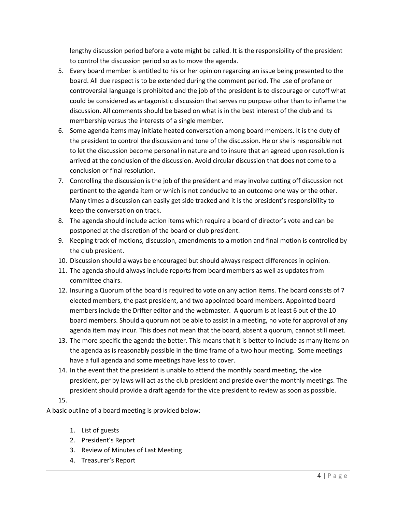lengthy discussion period before a vote might be called. It is the responsibility of the president to control the discussion period so as to move the agenda.

- 5. Every board member is entitled to his or her opinion regarding an issue being presented to the board. All due respect is to be extended during the comment period. The use of profane or controversial language is prohibited and the job of the president is to discourage or cutoff what could be considered as antagonistic discussion that serves no purpose other than to inflame the discussion. All comments should be based on what is in the best interest of the club and its membership versus the interests of a single member.
- 6. Some agenda items may initiate heated conversation among board members. It is the duty of the president to control the discussion and tone of the discussion. He or she is responsible not to let the discussion become personal in nature and to insure that an agreed upon resolution is arrived at the conclusion of the discussion. Avoid circular discussion that does not come to a conclusion or final resolution.
- 7. Controlling the discussion is the job of the president and may involve cutting off discussion not pertinent to the agenda item or which is not conducive to an outcome one way or the other. Many times a discussion can easily get side tracked and it is the president's responsibility to keep the conversation on track.
- 8. The agenda should include action items which require a board of director's vote and can be postponed at the discretion of the board or club president.
- 9. Keeping track of motions, discussion, amendments to a motion and final motion is controlled by the club president.
- 10. Discussion should always be encouraged but should always respect differences in opinion.
- 11. The agenda should always include reports from board members as well as updates from committee chairs.
- 12. Insuring a Quorum of the board is required to vote on any action items. The board consists of 7 elected members, the past president, and two appointed board members. Appointed board members include the Drifter editor and the webmaster. A quorum is at least 6 out of the 10 board members. Should a quorum not be able to assist in a meeting, no vote for approval of any agenda item may incur. This does not mean that the board, absent a quorum, cannot still meet.
- 13. The more specific the agenda the better. This means that it is better to include as many items on the agenda as is reasonably possible in the time frame of a two hour meeting. Some meetings have a full agenda and some meetings have less to cover.
- 14. In the event that the president is unable to attend the monthly board meeting, the vice president, per by laws will act as the club president and preside over the monthly meetings. The president should provide a draft agenda for the vice president to review as soon as possible.

### 15.

A basic outline of a board meeting is provided below:

- 1. List of guests
- 2. President's Report
- 3. Review of Minutes of Last Meeting
- 4. Treasurer's Report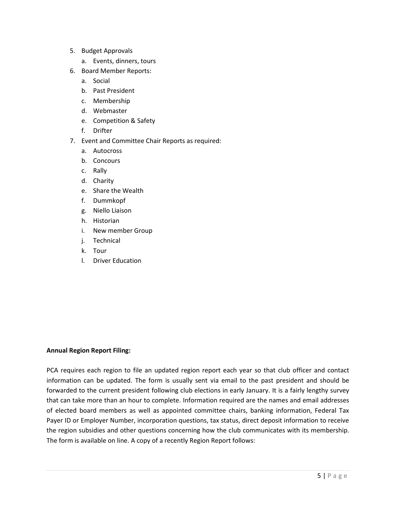- 5. Budget Approvals
	- a. Events, dinners, tours
- 6. Board Member Reports:
	- a. Social
	- b. Past President
	- c. Membership
	- d. Webmaster
	- e. Competition & Safety
	- f. Drifter
- 7. Event and Committee Chair Reports as required:
	- a. Autocross
	- b. Concours
	- c. Rally
	- d. Charity
	- e. Share the Wealth
	- f. Dummkopf
	- g. Niello Liaison
	- h. Historian
	- i. New member Group
	- j. Technical
	- k. Tour
	- l. Driver Education

### **Annual Region Report Filing:**

PCA requires each region to file an updated region report each year so that club officer and contact information can be updated. The form is usually sent via email to the past president and should be forwarded to the current president following club elections in early January. It is a fairly lengthy survey that can take more than an hour to complete. Information required are the names and email addresses of elected board members as well as appointed committee chairs, banking information, Federal Tax Payer ID or Employer Number, incorporation questions, tax status, direct deposit information to receive the region subsidies and other questions concerning how the club communicates with its membership. The form is available on line. A copy of a recently Region Report follows: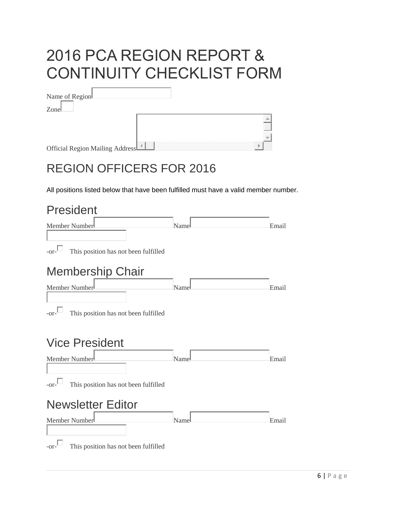# 2016 PCA REGION REPORT & CONTINUITY CHECKLIST FORM

| Name of Region                  |  |  |
|---------------------------------|--|--|
| Zonel                           |  |  |
|                                 |  |  |
|                                 |  |  |
|                                 |  |  |
| Official Region Mailing Address |  |  |

# REGION OFFICERS FOR 2016

All positions listed below that have been fulfilled must have a valid member number.

# President Member Number **Name** Name **Name** Email  $-$ or $\Box$  This position has not been fulfilled Membership Chair Member Number **Number** Email  $-$ or $\Box$  This position has not been fulfilled Vice President Member Number **Number** Email  $-$ or $\Box$  This position has not been fulfilled Newsletter Editor Member Number **Number** Name **Name Email**  $-$ or $\Box$  This position has not been fulfilled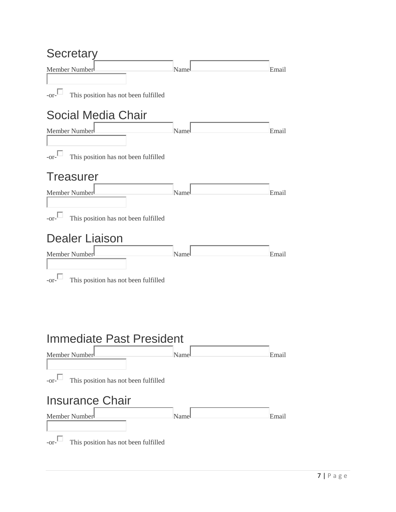### Secretary

| <b>UUUIULAI</b>                                                            |      |       |
|----------------------------------------------------------------------------|------|-------|
| Member Number                                                              | Name | Email |
| $-or$ $\Box$<br>This position has not been fulfilled                       |      |       |
| <b>Social Media Chair</b>                                                  |      |       |
| Member Number                                                              | Name | Email |
| $-or$ - $\Box$<br>This position has not been fulfilled<br><b>Treasurer</b> |      |       |
|                                                                            |      |       |
| Member Number                                                              | Name | Email |
| $-or$ - $\Box$<br>This position has not been fulfilled                     |      |       |
| <b>Dealer Liaison</b>                                                      |      |       |
| Member Number                                                              | Name | Email |
| $-0r^{-1}$<br>This position has not been fulfilled                         |      |       |
| <b>Immediate Past President</b>                                            |      |       |
| Member Number                                                              | Name | Email |
| $-0r^{-1}$<br>This position has not been fulfilled                         |      |       |
| <b>Insurance Chair</b><br>Member Number                                    | Name | Email |
| $-or$                                                                      |      |       |
| This position has not been fulfilled                                       |      |       |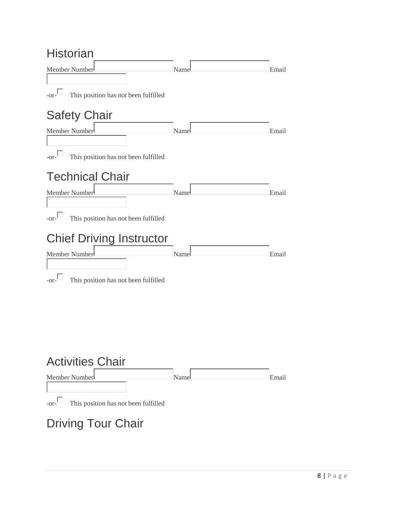### Historian

| <u>ו ווטגעוו</u>                                   |      |       |
|----------------------------------------------------|------|-------|
| Member Number                                      | Name | Email |
| $-0r^{-1}$<br>This position has not been fulfilled |      |       |
|                                                    |      |       |
| <b>Safety Chair</b>                                |      |       |
| Member Number                                      | Name | Email |
| $-0r-$<br>This position has not been fulfilled     |      |       |
| <b>Technical Chair</b>                             |      |       |
| Member Number                                      | Name | Email |
|                                                    |      |       |
| $-0r^{-1}$<br>This position has not been fulfilled |      |       |
| <b>Chief Driving Instructor</b>                    |      |       |
| Member Number                                      | Name | Email |
|                                                    |      |       |
| This position has not been fulfilled<br>-or        |      |       |
|                                                    |      |       |
|                                                    |      |       |
|                                                    |      |       |
|                                                    |      |       |

## Activities Chair



# Driving Tour Chair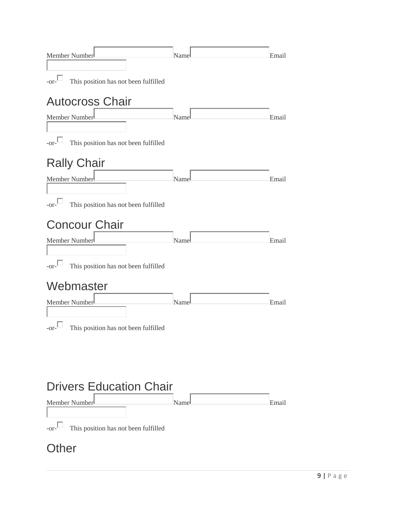| Member Number<br>$-0r^{-1}$<br>This position has not been fulfilled | Name | Email |
|---------------------------------------------------------------------|------|-------|
| <b>Autocross Chair</b>                                              |      |       |
| Member Number                                                       | Name | Email |
| $-$ or $-$<br>This position has not been fulfilled                  |      |       |
| <b>Rally Chair</b>                                                  |      |       |
| Member Number                                                       | Name | Email |
| $-$ or $-$<br>This position has not been fulfilled                  |      |       |
| <b>Concour Chair</b>                                                |      |       |
| Member Number                                                       | Name | Email |
| $-0r-$<br>This position has not been fulfilled                      |      |       |
| Webmaster                                                           |      |       |
| Member Number                                                       | Name | Email |
| $-0r^{-1}$<br>This position has not been fulfilled                  |      |       |
|                                                                     |      |       |
|                                                                     |      |       |

# Drivers Education Chair

| Member Number                                    | Namel | Email |
|--------------------------------------------------|-------|-------|
| -or- $\Box$ This position has not been fulfilled |       |       |

### **Other**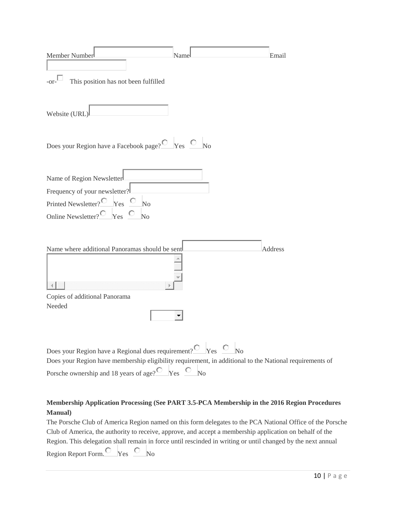| Member Number<br>Name<br>This position has not been fulfilled<br>$-0r-$                                                                                                                                                                                         |                | Email   |
|-----------------------------------------------------------------------------------------------------------------------------------------------------------------------------------------------------------------------------------------------------------------|----------------|---------|
| Website (URL)                                                                                                                                                                                                                                                   |                |         |
| Does your Region have a Facebook page? $\overline{C}$ Yes $\overline{C}$ No                                                                                                                                                                                     |                |         |
| Name of Region Newsletter<br>Frequency of your newsletter?<br>Printed Newsletter? $\overline{C}$ Yes $\overline{C}$<br>$\overline{N}$<br>Online Newsletter? $\overline{O}$ Yes $\overline{O}$<br>$\overline{N}$                                                 |                |         |
| Name where additional Panoramas should be sent<br>Copies of additional Panorama<br>Needed                                                                                                                                                                       |                | Address |
| Does your Region have a Regional dues requirement? $\overline{O}$ Yes $\overline{O}$ No<br>Does your Region have membership eligibility requirement, in additional to the National requirements of<br>Porsche ownership and 18 years of age? $\overline{C}$ Yes | N <sub>o</sub> |         |

### **Membership Application Processing (See PART 3.5-PCA Membership in the 2016 Region Procedures Manual)**

The Porsche Club of America Region named on this form delegates to the PCA National Office of the Porsche Club of America, the authority to receive, approve, and accept a membership application on behalf of the Region. This delegation shall remain in force until rescinded in writing or until changed by the next annual Region Report Form.  $\bigcirc$  Yes  $\bigcirc$  No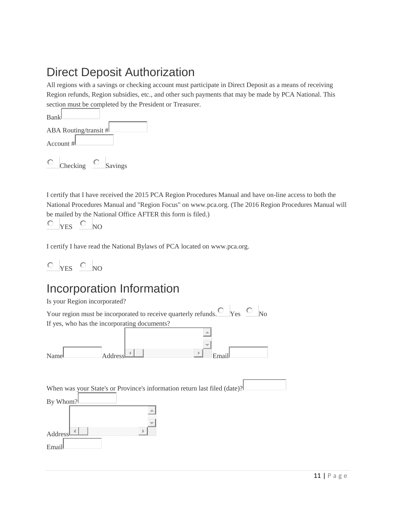### Direct Deposit Authorization

All regions with a savings or checking account must participate in Direct Deposit as a means of receiving Region refunds, Region subsidies, etc., and other such payments that may be made by PCA National. This section must be completed by the President or Treasurer.

| Bank      |                       |         |  |
|-----------|-----------------------|---------|--|
|           | ABA Routing/transit # |         |  |
| Account # |                       |         |  |
|           | Checking              | Savings |  |

I certify that I have received the 2015 PCA Region Procedures Manual and have on-line access to both the National Procedures Manual and "Region Focus" on www.pca.org. (The 2016 Region Procedures Manual will be mailed by the National Office AFTER this form is filed.)

$$
\circ \ _{\mathrm{YES}}\ \circ \ _{\mathrm{NO}}
$$

I certify I have read the National Bylaws of PCA located on www.pca.org.

$$
\circ \ _{YES} \ \circ \ _{NO}
$$

### Incorporation Information

| Is your Region incorporated?                                                          |
|---------------------------------------------------------------------------------------|
| Your region must be incorporated to receive quarterly refunds. $\Box$ Yes $\Box$ No   |
| If yes, who has the incorporating documents?                                          |
| P.<br>Addres<br>Name<br>Emai                                                          |
|                                                                                       |
| When was your State's or Province's information return last filed (date)?<br>By Whom? |
|                                                                                       |
| Address                                                                               |
| Email                                                                                 |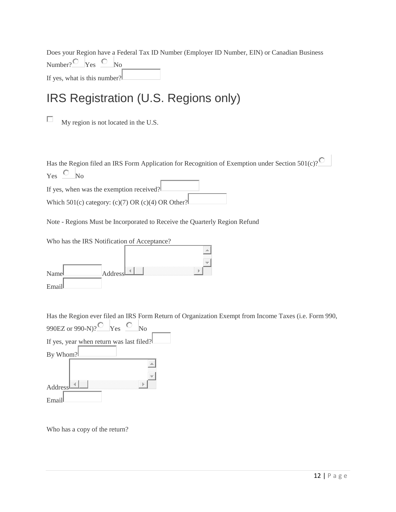Does your Region have a Federal Tax ID Number (Employer ID Number, EIN) or Canadian Business Number? $\overline{\mathbb{C}}$  Yes  $\overline{\mathbb{C}}$  No If yes, what is this number?

### IRS Registration (U.S. Regions only)

П My region is not located in the U.S.

Has the Region filed an IRS Form Application for Recognition of Exemption under Section  $501(c)$ ?  $Yes$  No

If yes, when was the exemption received? Which 501(c) category: (c)(7) OR (c)(4) OR Other?

Note - Regions Must be Incorporated to Receive the Quarterly Region Refund

| Who has the IRS Notification of Acceptance? |         |   |  |
|---------------------------------------------|---------|---|--|
|                                             |         |   |  |
|                                             |         |   |  |
| Namel                                       | Address | 4 |  |
| Email                                       |         |   |  |

Has the Region ever filed an IRS Form Return of Organization Exempt from Income Taxes (i.e. Form 990,

| 990EZ or 990-N)?<br>Yes<br>No            |
|------------------------------------------|
| If yes, year when return was last filed? |
| By Whom?                                 |
|                                          |
| 4<br>Address                             |
|                                          |
| Ema                                      |

Who has a copy of the return?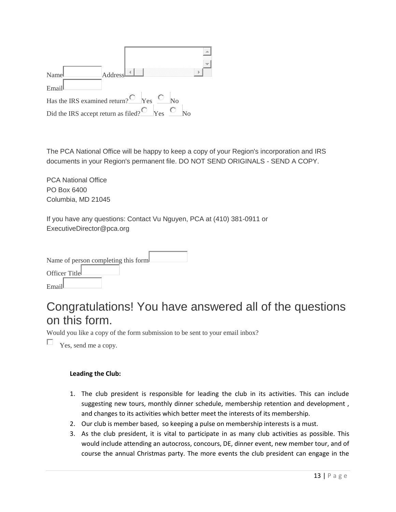

The PCA National Office will be happy to keep a copy of your Region's incorporation and IRS documents in your Region's permanent file. DO NOT SEND ORIGINALS - SEND A COPY.

PCA National Office PO Box 6400 Columbia, MD 21045

If you have any questions: Contact Vu Nguyen, PCA at (410) 381-0911 or ExecutiveDirector@pca.org

| Name of person completing this form. |  |
|--------------------------------------|--|
| Officer Title                        |  |
| Email                                |  |

### Congratulations! You have answered all of the questions on this form.

Would you like a copy of the form submission to be sent to your email inbox?

П. Yes, send me a copy.

### **Leading the Club:**

- 1. The club president is responsible for leading the club in its activities. This can include suggesting new tours, monthly dinner schedule, membership retention and development , and changes to its activities which better meet the interests of its membership.
- 2. Our club is member based, so keeping a pulse on membership interests is a must.
- 3. As the club president, it is vital to participate in as many club activities as possible. This would include attending an autocross, concours, DE, dinner event, new member tour, and of course the annual Christmas party. The more events the club president can engage in the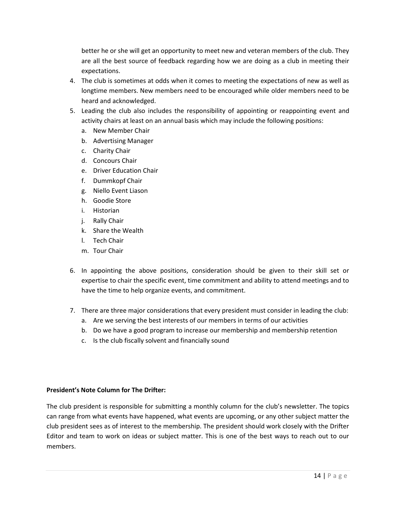better he or she will get an opportunity to meet new and veteran members of the club. They are all the best source of feedback regarding how we are doing as a club in meeting their expectations.

- 4. The club is sometimes at odds when it comes to meeting the expectations of new as well as longtime members. New members need to be encouraged while older members need to be heard and acknowledged.
- 5. Leading the club also includes the responsibility of appointing or reappointing event and activity chairs at least on an annual basis which may include the following positions:
	- a. New Member Chair
	- b. Advertising Manager
	- c. Charity Chair
	- d. Concours Chair
	- e. Driver Education Chair
	- f. Dummkopf Chair
	- g. Niello Event Liason
	- h. Goodie Store
	- i. Historian
	- j. Rally Chair
	- k. Share the Wealth
	- l. Tech Chair
	- m. Tour Chair
- 6. In appointing the above positions, consideration should be given to their skill set or expertise to chair the specific event, time commitment and ability to attend meetings and to have the time to help organize events, and commitment.
- 7. There are three major considerations that every president must consider in leading the club:
	- a. Are we serving the best interests of our members in terms of our activities
	- b. Do we have a good program to increase our membership and membership retention
	- c. Is the club fiscally solvent and financially sound

### **President's Note Column for The Drifter:**

The club president is responsible for submitting a monthly column for the club's newsletter. The topics can range from what events have happened, what events are upcoming, or any other subject matter the club president sees as of interest to the membership. The president should work closely with the Drifter Editor and team to work on ideas or subject matter. This is one of the best ways to reach out to our members.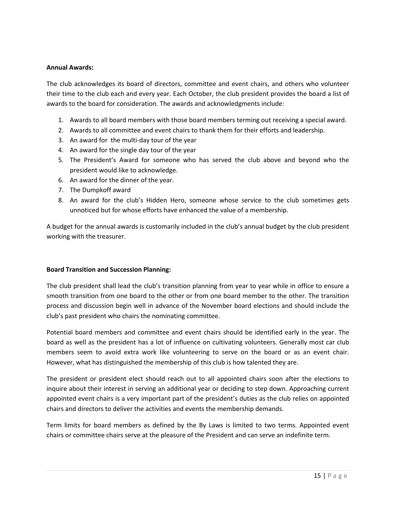### **Annual Awards:**

The club acknowledges its board of directors, committee and event chairs, and others who volunteer their time to the club each and every year. Each October, the club president provides the board a list of awards to the board for consideration. The awards and acknowledgments include:

- 1. Awards to all board members with those board members terming out receiving a special award.
- 2. Awards to all committee and event chairs to thank them for their efforts and leadership.
- 3. An award for the multi-day tour of the year
- 4. An award for the single day tour of the year
- 5. The President's Award for someone who has served the club above and beyond who the president would like to acknowledge.
- 6. An award for the dinner of the year.
- 7. The Dumpkoff award
- 8. An award for the club's Hidden Hero, someone whose service to the club sometimes gets unnoticed but for whose efforts have enhanced the value of a membership.

A budget for the annual awards is customarily included in the club's annual budget by the club president working with the treasurer.

### **Board Transition and Succession Planning:**

The club president shall lead the club's transition planning from year to year while in office to ensure a smooth transition from one board to the other or from one board member to the other. The transition process and discussion begin well in advance of the November board elections and should include the club's past president who chairs the nominating committee.

Potential board members and committee and event chairs should be identified early in the year. The board as well as the president has a lot of influence on cultivating volunteers. Generally most car club members seem to avoid extra work like volunteering to serve on the board or as an event chair. However, what has distinguished the membership of this club is how talented they are.

The president or president elect should reach out to all appointed chairs soon after the elections to inquire about their interest in serving an additional year or deciding to step down. Approaching current appointed event chairs is a very important part of the president's duties as the club relies on appointed chairs and directors to deliver the activities and events the membership demands.

Term limits for board members as defined by the By Laws is limited to two terms. Appointed event chairs or committee chairs serve at the pleasure of the President and can serve an indefinite term.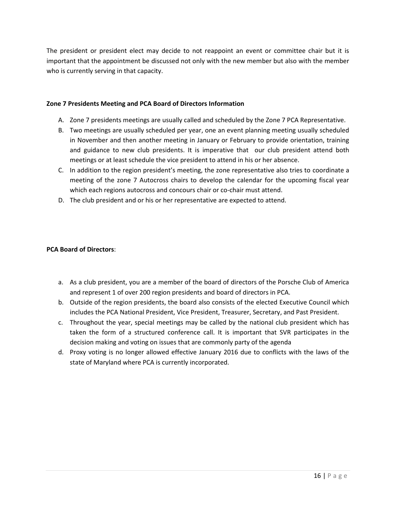The president or president elect may decide to not reappoint an event or committee chair but it is important that the appointment be discussed not only with the new member but also with the member who is currently serving in that capacity.

### **Zone 7 Presidents Meeting and PCA Board of Directors Information**

- A. Zone 7 presidents meetings are usually called and scheduled by the Zone 7 PCA Representative.
- B. Two meetings are usually scheduled per year, one an event planning meeting usually scheduled in November and then another meeting in January or February to provide orientation, training and guidance to new club presidents. It is imperative that our club president attend both meetings or at least schedule the vice president to attend in his or her absence.
- C. In addition to the region president's meeting, the zone representative also tries to coordinate a meeting of the zone 7 Autocross chairs to develop the calendar for the upcoming fiscal year which each regions autocross and concours chair or co-chair must attend.
- D. The club president and or his or her representative are expected to attend.

### **PCA Board of Directors**:

- a. As a club president, you are a member of the board of directors of the Porsche Club of America and represent 1 of over 200 region presidents and board of directors in PCA.
- b. Outside of the region presidents, the board also consists of the elected Executive Council which includes the PCA National President, Vice President, Treasurer, Secretary, and Past President.
- c. Throughout the year, special meetings may be called by the national club president which has taken the form of a structured conference call. It is important that SVR participates in the decision making and voting on issues that are commonly party of the agenda
- d. Proxy voting is no longer allowed effective January 2016 due to conflicts with the laws of the state of Maryland where PCA is currently incorporated.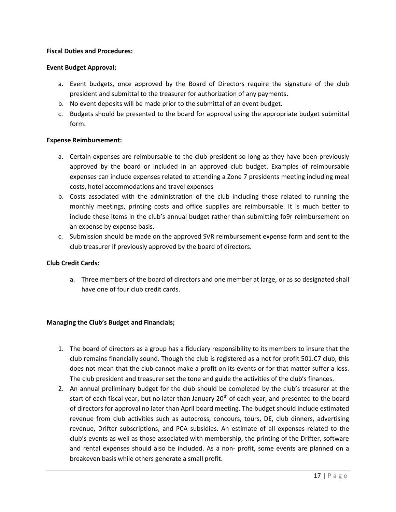### **Fiscal Duties and Procedures:**

#### **Event Budget Approval;**

- a. Event budgets, once approved by the Board of Directors require the signature of the club president and submittal to the treasurer for authorization of any payments**.**
- b. No event deposits will be made prior to the submittal of an event budget.
- c. Budgets should be presented to the board for approval using the appropriate budget submittal form.

#### **Expense Reimbursement:**

- a. Certain expenses are reimbursable to the club president so long as they have been previously approved by the board or included in an approved club budget. Examples of reimbursable expenses can include expenses related to attending a Zone 7 presidents meeting including meal costs, hotel accommodations and travel expenses
- b. Costs associated with the administration of the club including those related to running the monthly meetings, printing costs and office supplies are reimbursable. It is much better to include these items in the club's annual budget rather than submitting fo9r reimbursement on an expense by expense basis.
- c. Submission should be made on the approved SVR reimbursement expense form and sent to the club treasurer if previously approved by the board of directors.

### **Club Credit Cards:**

a. Three members of the board of directors and one member at large, or as so designated shall have one of four club credit cards.

### **Managing the Club's Budget and Financials;**

- 1. The board of directors as a group has a fiduciary responsibility to its members to insure that the club remains financially sound. Though the club is registered as a not for profit 501.C7 club, this does not mean that the club cannot make a profit on its events or for that matter suffer a loss. The club president and treasurer set the tone and guide the activities of the club's finances.
- 2. An annual preliminary budget for the club should be completed by the club's treasurer at the start of each fiscal year, but no later than January 20<sup>th</sup> of each year, and presented to the board of directors for approval no later than April board meeting. The budget should include estimated revenue from club activities such as autocross, concours, tours, DE, club dinners, advertising revenue, Drifter subscriptions, and PCA subsidies. An estimate of all expenses related to the club's events as well as those associated with membership, the printing of the Drifter, software and rental expenses should also be included. As a non- profit, some events are planned on a breakeven basis while others generate a small profit.